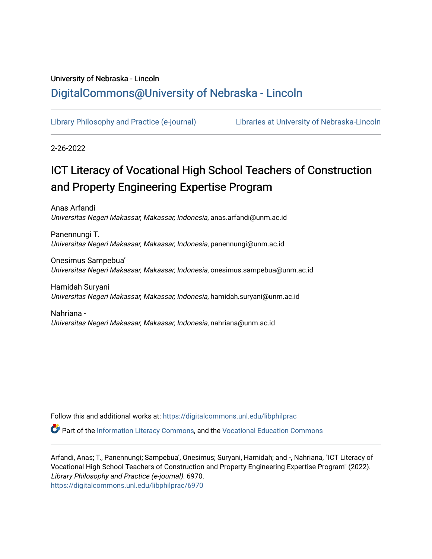# University of Nebraska - Lincoln [DigitalCommons@University of Nebraska - Lincoln](https://digitalcommons.unl.edu/)

[Library Philosophy and Practice \(e-journal\)](https://digitalcommons.unl.edu/libphilprac) [Libraries at University of Nebraska-Lincoln](https://digitalcommons.unl.edu/libraries) 

2-26-2022

# ICT Literacy of Vocational High School Teachers of Construction and Property Engineering Expertise Program

Anas Arfandi Universitas Negeri Makassar, Makassar, Indonesia, anas.arfandi@unm.ac.id

Panennungi T. Universitas Negeri Makassar, Makassar, Indonesia, panennungi@unm.ac.id

Onesimus Sampebua' Universitas Negeri Makassar, Makassar, Indonesia, onesimus.sampebua@unm.ac.id

Hamidah Suryani Universitas Negeri Makassar, Makassar, Indonesia, hamidah.suryani@unm.ac.id

Nahriana - Universitas Negeri Makassar, Makassar, Indonesia, nahriana@unm.ac.id

Follow this and additional works at: [https://digitalcommons.unl.edu/libphilprac](https://digitalcommons.unl.edu/libphilprac?utm_source=digitalcommons.unl.edu%2Flibphilprac%2F6970&utm_medium=PDF&utm_campaign=PDFCoverPages) 

Part of the [Information Literacy Commons](http://network.bepress.com/hgg/discipline/1243?utm_source=digitalcommons.unl.edu%2Flibphilprac%2F6970&utm_medium=PDF&utm_campaign=PDFCoverPages), and the [Vocational Education Commons](http://network.bepress.com/hgg/discipline/1369?utm_source=digitalcommons.unl.edu%2Flibphilprac%2F6970&utm_medium=PDF&utm_campaign=PDFCoverPages) 

Arfandi, Anas; T., Panennungi; Sampebua', Onesimus; Suryani, Hamidah; and -, Nahriana, "ICT Literacy of Vocational High School Teachers of Construction and Property Engineering Expertise Program" (2022). Library Philosophy and Practice (e-journal). 6970. [https://digitalcommons.unl.edu/libphilprac/6970](https://digitalcommons.unl.edu/libphilprac/6970?utm_source=digitalcommons.unl.edu%2Flibphilprac%2F6970&utm_medium=PDF&utm_campaign=PDFCoverPages)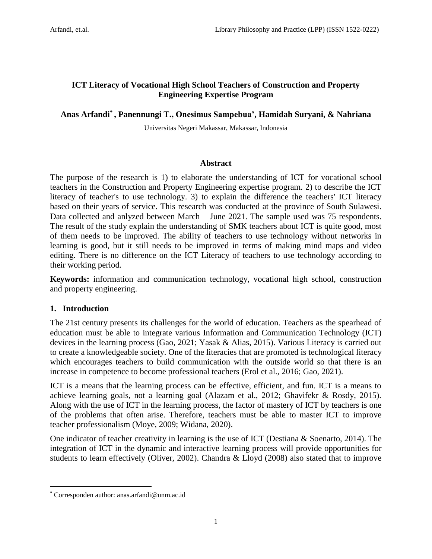# **ICT Literacy of Vocational High School Teachers of Construction and Property Engineering Expertise Program**

# **Anas Arfandi\* , Panennungi T., Onesimus Sampebua', Hamidah Suryani, & Nahriana**

Universitas Negeri Makassar, Makassar, Indonesia

# **Abstract**

The purpose of the research is 1) to elaborate the understanding of ICT for vocational school teachers in the Construction and Property Engineering expertise program. 2) to describe the ICT literacy of teacher's to use technology. 3) to explain the difference the teachers' ICT literacy based on their years of service. This research was conducted at the province of South Sulawesi. Data collected and anlyzed between March – June 2021. The sample used was 75 respondents. The result of the study explain the understanding of SMK teachers about ICT is quite good, most of them needs to be improved. The ability of teachers to use technology without networks in learning is good, but it still needs to be improved in terms of making mind maps and video editing. There is no difference on the ICT Literacy of teachers to use technology according to their working period.

**Keywords:** information and communication technology, vocational high school, construction and property engineering.

# **1. Introduction**

 $\overline{a}$ 

The 21st century presents its challenges for the world of education. Teachers as the spearhead of education must be able to integrate various Information and Communication Technology (ICT) devices in the learning process (Gao, 2021; Yasak & Alias, 2015). Various Literacy is carried out to create a knowledgeable society. One of the literacies that are promoted is technological literacy which encourages teachers to build communication with the outside world so that there is an increase in competence to become professional teachers (Erol et al., 2016; Gao, 2021).

ICT is a means that the learning process can be effective, efficient, and fun. ICT is a means to achieve learning goals, not a learning goal (Alazam et al., 2012; Ghavifekr & Rosdy, 2015). Along with the use of ICT in the learning process, the factor of mastery of ICT by teachers is one of the problems that often arise. Therefore, teachers must be able to master ICT to improve teacher professionalism (Moye, 2009; Widana, 2020).

One indicator of teacher creativity in learning is the use of ICT (Destiana & Soenarto, 2014). The integration of ICT in the dynamic and interactive learning process will provide opportunities for students to learn effectively (Oliver, 2002). Chandra & Lloyd (2008) also stated that to improve

<sup>\*</sup> Corresponden author: anas.arfandi@unm.ac.id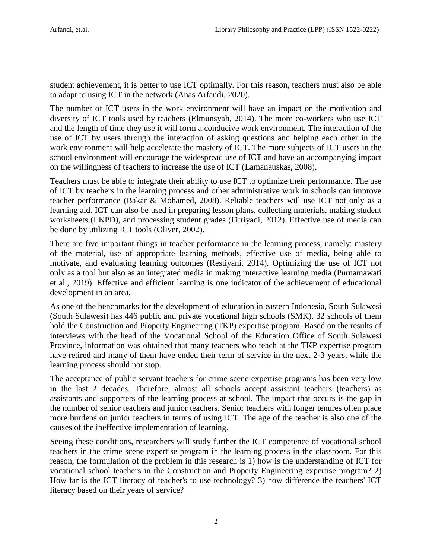student achievement, it is better to use ICT optimally. For this reason, teachers must also be able to adapt to using ICT in the network (Anas Arfandi, 2020).

The number of ICT users in the work environment will have an impact on the motivation and diversity of ICT tools used by teachers (Elmunsyah, 2014). The more co-workers who use ICT and the length of time they use it will form a conducive work environment. The interaction of the use of ICT by users through the interaction of asking questions and helping each other in the work environment will help accelerate the mastery of ICT. The more subjects of ICT users in the school environment will encourage the widespread use of ICT and have an accompanying impact on the willingness of teachers to increase the use of ICT (Lamanauskas, 2008).

Teachers must be able to integrate their ability to use ICT to optimize their performance. The use of ICT by teachers in the learning process and other administrative work in schools can improve teacher performance (Bakar & Mohamed, 2008). Reliable teachers will use ICT not only as a learning aid. ICT can also be used in preparing lesson plans, collecting materials, making student worksheets (LKPD), and processing student grades (Fitriyadi, 2012). Effective use of media can be done by utilizing ICT tools (Oliver, 2002).

There are five important things in teacher performance in the learning process, namely: mastery of the material, use of appropriate learning methods, effective use of media, being able to motivate, and evaluating learning outcomes (Restiyani, 2014). Optimizing the use of ICT not only as a tool but also as an integrated media in making interactive learning media (Purnamawati et al., 2019). Effective and efficient learning is one indicator of the achievement of educational development in an area.

As one of the benchmarks for the development of education in eastern Indonesia, South Sulawesi (South Sulawesi) has 446 public and private vocational high schools (SMK). 32 schools of them hold the Construction and Property Engineering (TKP) expertise program. Based on the results of interviews with the head of the Vocational School of the Education Office of South Sulawesi Province, information was obtained that many teachers who teach at the TKP expertise program have retired and many of them have ended their term of service in the next 2-3 years, while the learning process should not stop.

The acceptance of public servant teachers for crime scene expertise programs has been very low in the last 2 decades. Therefore, almost all schools accept assistant teachers (teachers) as assistants and supporters of the learning process at school. The impact that occurs is the gap in the number of senior teachers and junior teachers. Senior teachers with longer tenures often place more burdens on junior teachers in terms of using ICT. The age of the teacher is also one of the causes of the ineffective implementation of learning.

Seeing these conditions, researchers will study further the ICT competence of vocational school teachers in the crime scene expertise program in the learning process in the classroom. For this reason, the formulation of the problem in this research is 1) how is the understanding of ICT for vocational school teachers in the Construction and Property Engineering expertise program? 2) How far is the ICT literacy of teacher's to use technology? 3) how difference the teachers' ICT literacy based on their years of service?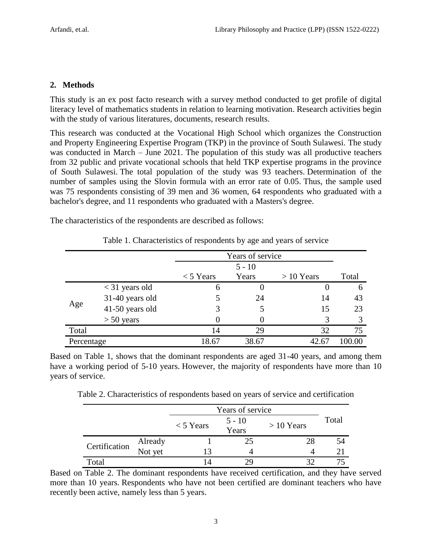#### **2. Methods**

This study is an ex post facto research with a survey method conducted to get profile of digital literacy level of mathematics students in relation to learning motivation. Research activities begin with the study of various literatures, documents, research results.

This research was conducted at the Vocational High School which organizes the Construction and Property Engineering Expertise Program (TKP) in the province of South Sulawesi. The study was conducted in March – June 2021. The population of this study was all productive teachers from 32 public and private vocational schools that held TKP expertise programs in the province of South Sulawesi. The total population of the study was 93 teachers. Determination of the number of samples using the Slovin formula with an error rate of 0.05. Thus, the sample used was 75 respondents consisting of 39 men and 36 women, 64 respondents who graduated with a bachelor's degree, and 11 respondents who graduated with a Masters's degree.

The characteristics of the respondents are described as follows:

|            |                  | Years of service |       |              |       |
|------------|------------------|------------------|-------|--------------|-------|
|            |                  |                  |       |              |       |
|            |                  | $<$ 5 Years      | Years | $> 10$ Years | Total |
| Age        | $<$ 31 years old | 6                |       |              | 6     |
|            | 31-40 years old  |                  | 24    | 14           | 43    |
|            | 41-50 years old  | 3                |       | 15           | 23    |
|            | $> 50$ years     |                  |       | 3            |       |
| Total      |                  | 14               | 29    | 32           | 75    |
| Percentage |                  | 18.67            | 38.67 | 42.67        |       |

Table 1. Characteristics of respondents by age and years of service

Based on Table 1, shows that the dominant respondents are aged 31-40 years, and among them have a working period of 5-10 years. However, the majority of respondents have more than 10 years of service.

Table 2. Characteristics of respondents based on years of service and certification

|               |                    | Years of service |                   |              |       |
|---------------|--------------------|------------------|-------------------|--------------|-------|
|               |                    | $<$ 5 Years      | $5 - 10$<br>Years | $> 10$ Years | Total |
| Certification | Already<br>Not yet |                  | 25                | 28           | 54    |
|               |                    |                  |                   |              | 21    |
| Total         |                    |                  | 29                |              |       |

Based on Table 2. The dominant respondents have received certification, and they have served more than 10 years. Respondents who have not been certified are dominant teachers who have recently been active, namely less than 5 years.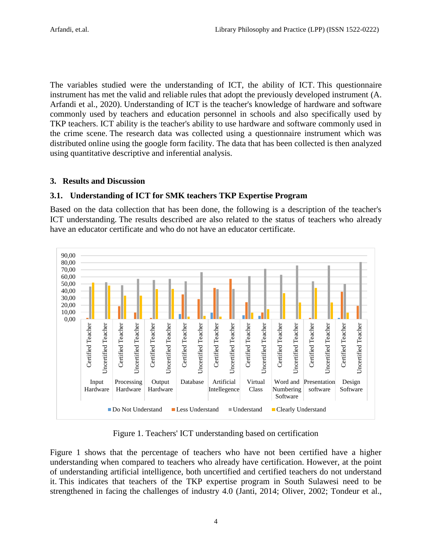The variables studied were the understanding of ICT, the ability of ICT. This questionnaire instrument has met the valid and reliable rules that adopt the previously developed instrument (A. Arfandi et al., 2020). Understanding of ICT is the teacher's knowledge of hardware and software commonly used by teachers and education personnel in schools and also specifically used by TKP teachers. ICT ability is the teacher's ability to use hardware and software commonly used in the crime scene. The research data was collected using a questionnaire instrument which was distributed online using the google form facility. The data that has been collected is then analyzed using quantitative descriptive and inferential analysis.

# **3. Results and Discussion**

# **3.1. Understanding of ICT for SMK teachers TKP Expertise Program**

Based on the data collection that has been done, the following is a description of the teacher's ICT understanding. The results described are also related to the status of teachers who already have an educator certificate and who do not have an educator certificate.



Figure 1. Teachers' ICT understanding based on certification

Figure 1 shows that the percentage of teachers who have not been certified have a higher understanding when compared to teachers who already have certification. However, at the point of understanding artificial intelligence, both uncertified and certified teachers do not understand it. This indicates that teachers of the TKP expertise program in South Sulawesi need to be strengthened in facing the challenges of industry 4.0 (Janti, 2014; Oliver, 2002; Tondeur et al.,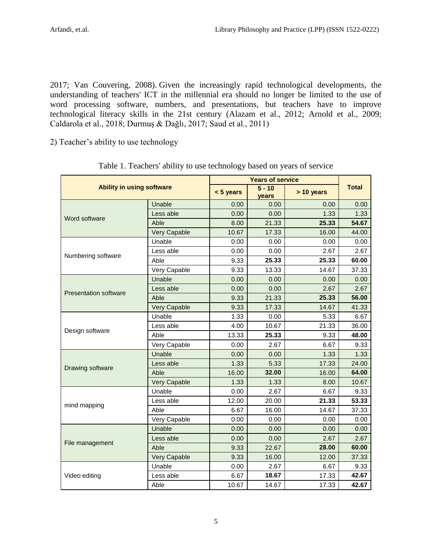2017; Van Couvering, 2008). Given the increasingly rapid technological developments, the understanding of teachers' ICT in the millennial era should no longer be limited to the use of word processing software, numbers, and presentations, but teachers have to improve technological literacy skills in the 21st century (Alazam et al., 2012; Arnold et al., 2009; Caldarola et al., 2018; Durmuş & Dağlı, 2017; Saud et al., 2011)

2) Teacher's ability to use technology

| <b>Ability in using software</b> |                     |                                                                                                                                                                                                                                                                                                                                                                                                                                                                                                                                                                                                                                                                                                                                                      |       |            |              |
|----------------------------------|---------------------|------------------------------------------------------------------------------------------------------------------------------------------------------------------------------------------------------------------------------------------------------------------------------------------------------------------------------------------------------------------------------------------------------------------------------------------------------------------------------------------------------------------------------------------------------------------------------------------------------------------------------------------------------------------------------------------------------------------------------------------------------|-------|------------|--------------|
|                                  |                     | $< 5$ years                                                                                                                                                                                                                                                                                                                                                                                                                                                                                                                                                                                                                                                                                                                                          | years | > 10 years | <b>Total</b> |
|                                  | Unable              | 0.00                                                                                                                                                                                                                                                                                                                                                                                                                                                                                                                                                                                                                                                                                                                                                 | 0.00  | 0.00       | 0.00         |
| Word software                    | Less able           | 0.00                                                                                                                                                                                                                                                                                                                                                                                                                                                                                                                                                                                                                                                                                                                                                 | 0.00  | 1.33       | 1.33         |
|                                  | Able                | 8.00                                                                                                                                                                                                                                                                                                                                                                                                                                                                                                                                                                                                                                                                                                                                                 | 21.33 | 25.33      | 54.67        |
|                                  | Very Capable        | $\overline{5} - 10$<br>10.67<br>17.33<br>16.00<br>0.00<br>0.00<br>0.00<br>0.00<br>0.00<br>2.67<br>25.33<br>25.33<br>9.33<br>9.33<br>13.33<br>14.67<br>0.00<br>0.00<br>0.00<br>0.00<br>0.00<br>2.67<br>25.33<br>9.33<br>21.33<br>9.33<br>17.33<br>14.67<br>1.33<br>0.00<br>5.33<br>10.67<br>21.33<br>4.00<br>25.33<br>13.33<br>9.33<br>0.00<br>2.67<br>6.67<br>1.33<br>0.00<br>0.00<br>5.33<br>1.33<br>17.33<br>32.00<br>16.00<br>16.00<br>1.33<br>1.33<br>8.00<br>0.00<br>2.67<br>6.67<br>21.33<br>12.00<br>20.00<br>6.67<br>16.00<br>14.67<br>0.00<br>0.00<br>0.00<br>0.00<br>0.00<br>0.00<br>0.00<br>0.00<br>2.67<br>9.33<br>22.67<br>28.00<br>9.33<br>16.00<br>12.00<br>0.00<br>2.67<br>6.67<br>6.67<br>18.67<br>17.33<br>10.67<br>14.67<br>17.33 | 44.00 |            |              |
|                                  | Unable              |                                                                                                                                                                                                                                                                                                                                                                                                                                                                                                                                                                                                                                                                                                                                                      |       | 0.00       |              |
|                                  | Less able           |                                                                                                                                                                                                                                                                                                                                                                                                                                                                                                                                                                                                                                                                                                                                                      |       |            | 2.67         |
| Numbering software               | Able                |                                                                                                                                                                                                                                                                                                                                                                                                                                                                                                                                                                                                                                                                                                                                                      |       |            | 60.00        |
|                                  | Very Capable        |                                                                                                                                                                                                                                                                                                                                                                                                                                                                                                                                                                                                                                                                                                                                                      |       |            | 37.33        |
|                                  | Unable              |                                                                                                                                                                                                                                                                                                                                                                                                                                                                                                                                                                                                                                                                                                                                                      |       |            | 0.00         |
| <b>Presentation software</b>     | Less able           |                                                                                                                                                                                                                                                                                                                                                                                                                                                                                                                                                                                                                                                                                                                                                      |       |            | 2.67         |
|                                  | Able                |                                                                                                                                                                                                                                                                                                                                                                                                                                                                                                                                                                                                                                                                                                                                                      |       |            | 56.00        |
|                                  | Very Capable        | <b>Years of service</b>                                                                                                                                                                                                                                                                                                                                                                                                                                                                                                                                                                                                                                                                                                                              | 41.33 |            |              |
|                                  | Unable              |                                                                                                                                                                                                                                                                                                                                                                                                                                                                                                                                                                                                                                                                                                                                                      |       |            | 6.67         |
|                                  | Less able           |                                                                                                                                                                                                                                                                                                                                                                                                                                                                                                                                                                                                                                                                                                                                                      |       |            | 36.00        |
| Design software                  | Able                |                                                                                                                                                                                                                                                                                                                                                                                                                                                                                                                                                                                                                                                                                                                                                      |       |            | 48.00        |
|                                  | Very Capable        |                                                                                                                                                                                                                                                                                                                                                                                                                                                                                                                                                                                                                                                                                                                                                      |       | 9.33       |              |
|                                  | Unable              |                                                                                                                                                                                                                                                                                                                                                                                                                                                                                                                                                                                                                                                                                                                                                      |       | 1.33       |              |
| Drawing software                 | Less able           |                                                                                                                                                                                                                                                                                                                                                                                                                                                                                                                                                                                                                                                                                                                                                      |       |            | 24.00        |
|                                  | Able                |                                                                                                                                                                                                                                                                                                                                                                                                                                                                                                                                                                                                                                                                                                                                                      |       |            | 64.00        |
|                                  | <b>Very Capable</b> |                                                                                                                                                                                                                                                                                                                                                                                                                                                                                                                                                                                                                                                                                                                                                      |       | 10.67      |              |
|                                  | Unable              |                                                                                                                                                                                                                                                                                                                                                                                                                                                                                                                                                                                                                                                                                                                                                      |       |            | 9.33         |
| mind mapping                     | Less able           |                                                                                                                                                                                                                                                                                                                                                                                                                                                                                                                                                                                                                                                                                                                                                      |       |            | 53.33        |
|                                  | Able                |                                                                                                                                                                                                                                                                                                                                                                                                                                                                                                                                                                                                                                                                                                                                                      |       |            | 37.33        |
|                                  | Very Capable        |                                                                                                                                                                                                                                                                                                                                                                                                                                                                                                                                                                                                                                                                                                                                                      |       |            | 0.00         |
|                                  | Unable              |                                                                                                                                                                                                                                                                                                                                                                                                                                                                                                                                                                                                                                                                                                                                                      |       |            | 0.00         |
|                                  | Less able           |                                                                                                                                                                                                                                                                                                                                                                                                                                                                                                                                                                                                                                                                                                                                                      |       |            | 2.67         |
| File management                  | Able                |                                                                                                                                                                                                                                                                                                                                                                                                                                                                                                                                                                                                                                                                                                                                                      |       |            | 60.00        |
|                                  | Very Capable        |                                                                                                                                                                                                                                                                                                                                                                                                                                                                                                                                                                                                                                                                                                                                                      |       |            | 37.33        |
|                                  | Unable              |                                                                                                                                                                                                                                                                                                                                                                                                                                                                                                                                                                                                                                                                                                                                                      |       |            | 9.33         |
| Video editing                    | Less able           |                                                                                                                                                                                                                                                                                                                                                                                                                                                                                                                                                                                                                                                                                                                                                      |       |            | 42.67        |
|                                  | Able                |                                                                                                                                                                                                                                                                                                                                                                                                                                                                                                                                                                                                                                                                                                                                                      |       |            | 42.67        |

Table 1. Teachers' ability to use technology based on years of service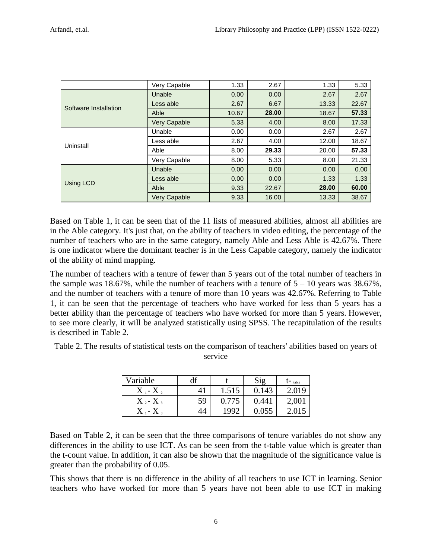|                       | Very Capable        | 1.33                                                                                                                                                                                              | 2.67  | 1.33  | 5.33  |
|-----------------------|---------------------|---------------------------------------------------------------------------------------------------------------------------------------------------------------------------------------------------|-------|-------|-------|
|                       | Unable              | 0.00                                                                                                                                                                                              | 0.00  | 2.67  | 2.67  |
| Software Installation | Less able           | 2.67                                                                                                                                                                                              | 6.67  | 13.33 | 22.67 |
|                       | Able                | 10.67                                                                                                                                                                                             | 28.00 | 18.67 | 57.33 |
|                       | <b>Very Capable</b> | 5.33<br>4.00<br>8.00<br>0.00<br>2.67<br>0.00<br>2.67<br>4.00<br>12.00<br>29.33<br>8.00<br>20.00<br>8.00<br>8.00<br>5.33<br>0.00<br>0.00<br>0.00<br>0.00<br>0.00<br>1.33<br>28.00<br>9.33<br>22.67 | 17.33 |       |       |
|                       | Unable              |                                                                                                                                                                                                   |       |       | 2.67  |
| Uninstall             | Less able           |                                                                                                                                                                                                   |       |       | 18.67 |
|                       | Able                |                                                                                                                                                                                                   |       |       | 57.33 |
|                       | Very Capable        |                                                                                                                                                                                                   |       |       | 21.33 |
|                       | Unable              |                                                                                                                                                                                                   |       |       | 0.00  |
|                       | Less able           |                                                                                                                                                                                                   |       |       | 1.33  |
| Using LCD             | Able                |                                                                                                                                                                                                   |       |       | 60.00 |
|                       | <b>Very Capable</b> | 9.33                                                                                                                                                                                              | 16.00 | 13.33 | 38.67 |

Based on Table 1, it can be seen that of the 11 lists of measured abilities, almost all abilities are in the Able category. It's just that, on the ability of teachers in video editing, the percentage of the number of teachers who are in the same category, namely Able and Less Able is 42.67%. There is one indicator where the dominant teacher is in the Less Capable category, namely the indicator of the ability of mind mapping.

The number of teachers with a tenure of fewer than 5 years out of the total number of teachers in the sample was 18.67%, while the number of teachers with a tenure of  $5 - 10$  years was 38.67%, and the number of teachers with a tenure of more than 10 years was 42.67%. Referring to Table 1, it can be seen that the percentage of teachers who have worked for less than 5 years has a better ability than the percentage of teachers who have worked for more than 5 years. However, to see more clearly, it will be analyzed statistically using SPSS. The recapitulation of the results is described in Table 2.

Table 2. The results of statistical tests on the comparison of teachers' abilities based on years of service

| Variable                  | df |       | Sig   | $t$ - table |
|---------------------------|----|-------|-------|-------------|
| $X_1 - X_2$               | 41 | 1.515 | 0.143 | 2.019       |
| $X_{2}$ -X <sub>3</sub>   | 59 | 0.775 | 0.441 | 2,00        |
| ${\rm X}$ 1- ${\rm X}$ 3. | 44 | 1992  | 0.055 |             |

Based on Table 2, it can be seen that the three comparisons of tenure variables do not show any differences in the ability to use ICT. As can be seen from the t-table value which is greater than the t-count value. In addition, it can also be shown that the magnitude of the significance value is greater than the probability of 0.05.

This shows that there is no difference in the ability of all teachers to use ICT in learning. Senior teachers who have worked for more than 5 years have not been able to use ICT in making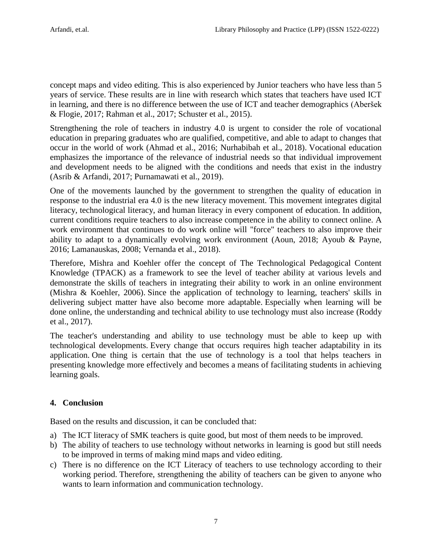concept maps and video editing. This is also experienced by Junior teachers who have less than 5 years of service. These results are in line with research which states that teachers have used ICT in learning, and there is no difference between the use of ICT and teacher demographics (Aberšek & Flogie, 2017; Rahman et al., 2017; Schuster et al., 2015).

Strengthening the role of teachers in industry 4.0 is urgent to consider the role of vocational education in preparing graduates who are qualified, competitive, and able to adapt to changes that occur in the world of work (Ahmad et al., 2016; Nurhabibah et al., 2018). Vocational education emphasizes the importance of the relevance of industrial needs so that individual improvement and development needs to be aligned with the conditions and needs that exist in the industry (Asrib & Arfandi, 2017; Purnamawati et al., 2019).

One of the movements launched by the government to strengthen the quality of education in response to the industrial era 4.0 is the new literacy movement. This movement integrates digital literacy, technological literacy, and human literacy in every component of education. In addition, current conditions require teachers to also increase competence in the ability to connect online. A work environment that continues to do work online will "force" teachers to also improve their ability to adapt to a dynamically evolving work environment (Aoun, 2018; Ayoub & Payne, 2016; Lamanauskas, 2008; Vernanda et al., 2018).

Therefore, Mishra and Koehler offer the concept of The Technological Pedagogical Content Knowledge (TPACK) as a framework to see the level of teacher ability at various levels and demonstrate the skills of teachers in integrating their ability to work in an online environment (Mishra & Koehler, 2006). Since the application of technology to learning, teachers' skills in delivering subject matter have also become more adaptable. Especially when learning will be done online, the understanding and technical ability to use technology must also increase (Roddy et al., 2017).

The teacher's understanding and ability to use technology must be able to keep up with technological developments. Every change that occurs requires high teacher adaptability in its application. One thing is certain that the use of technology is a tool that helps teachers in presenting knowledge more effectively and becomes a means of facilitating students in achieving learning goals.

# **4. Conclusion**

Based on the results and discussion, it can be concluded that:

- a) The ICT literacy of SMK teachers is quite good, but most of them needs to be improved.
- b) The ability of teachers to use technology without networks in learning is good but still needs to be improved in terms of making mind maps and video editing.
- c) There is no difference on the ICT Literacy of teachers to use technology according to their working period. Therefore, strengthening the ability of teachers can be given to anyone who wants to learn information and communication technology.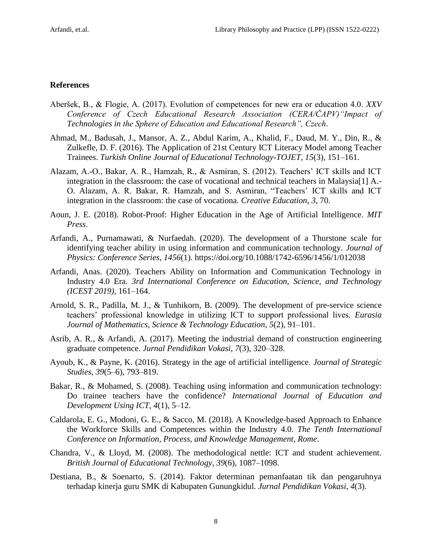#### **References**

- Aberšek, B., & Flogie, A. (2017). Evolution of competences for new era or education 4.0. *XXV Conference of Czech Educational Research Association (CERA/ČAPV)"Impact of Technologies in the Sphere of Education and Educational Research", Czech*.
- Ahmad, M., Badusah, J., Mansor, A. Z., Abdul Karim, A., Khalid, F., Daud, M. Y., Din, R., & Zulkefle, D. F. (2016). The Application of 21st Century ICT Literacy Model among Teacher Trainees. *Turkish Online Journal of Educational Technology-TOJET*, *15*(3), 151–161.
- Alazam, A.-O., Bakar, A. R., Hamzah, R., & Asmiran, S. (2012). Teachers' ICT skills and ICT integration in the classroom: the case of vocational and technical teachers in Malaysia[1] A.- O. Alazam, A. R. Bakar, R. Hamzah, and S. Asmiran, "Teachers' ICT skills and ICT integration in the classroom: the case of vocationa. *Creative Education*, *3*, 70.
- Aoun, J. E. (2018). Robot-Proof: Higher Education in the Age of Artificial Intelligence. *MIT Press*.
- Arfandi, A., Purnamawati, & Nurfaedah. (2020). The development of a Thurstone scale for identifying teacher ability in using information and communication technology. *Journal of Physics: Conference Series*, *1456*(1). https://doi.org/10.1088/1742-6596/1456/1/012038
- Arfandi, Anas. (2020). Teachers Ability on Information and Communication Technology in Industry 4.0 Era. *3rd International Conference on Education, Science, and Technology (ICEST 2019)*, 161–164.
- Arnold, S. R., Padilla, M. J., & Tunhikorn, B. (2009). The development of pre-service science teachers' professional knowledge in utilizing ICT to support professional lives. *Eurasia Journal of Mathematics, Science & Technology Education*, *5*(2), 91–101.
- Asrib, A. R., & Arfandi, A. (2017). Meeting the industrial demand of construction engineering graduate competence. *Jurnal Pendidikan Vokasi*, *7*(3), 320–328.
- Ayoub, K., & Payne, K. (2016). Strategy in the age of artificial intelligence. *Journal of Strategic Studies*, *39*(5–6), 793–819.
- Bakar, R., & Mohamed, S. (2008). Teaching using information and communication technology: Do trainee teachers have the confidence? *International Journal of Education and Development Using ICT*, *4*(1), 5–12.
- Caldarola, E. G., Modoni, G. E., & Sacco, M. (2018). A Knowledge-based Approach to Enhance the Workforce Skills and Competences within the Industry 4.0. *The Tenth International Conference on Information, Process, and Knowledge Management, Rome*.
- Chandra, V., & Lloyd, M. (2008). The methodological nettle: ICT and student achievement. *British Journal of Educational Technology*, *39*(6), 1087–1098.
- Destiana, B., & Soenarto, S. (2014). Faktor determinan pemanfaatan tik dan pengaruhnya terhadap kinerja guru SMK di Kabupaten Gunungkidul. *Jurnal Pendidikan Vokasi*, *4*(3).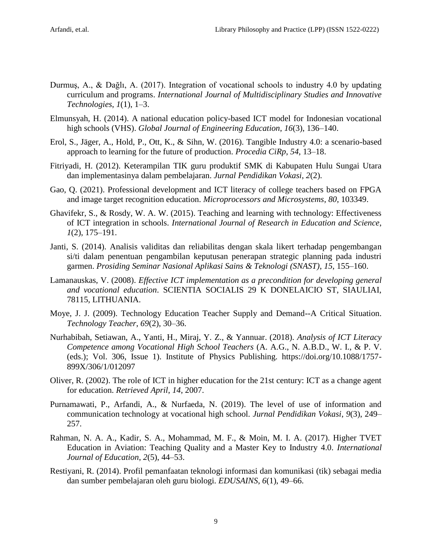- Durmuş, A., & Dağlı, A. (2017). Integration of vocational schools to industry 4.0 by updating curriculum and programs. *International Journal of Multidisciplinary Studies and Innovative Technologies*, *1*(1), 1–3.
- Elmunsyah, H. (2014). A national education policy-based ICT model for Indonesian vocational high schools (VHS). *Global Journal of Engineering Education*, *16*(3), 136–140.
- Erol, S., Jäger, A., Hold, P., Ott, K., & Sihn, W. (2016). Tangible Industry 4.0: a scenario-based approach to learning for the future of production. *Procedia CiRp*, *54*, 13–18.
- Fitriyadi, H. (2012). Keterampilan TIK guru produktif SMK di Kabupaten Hulu Sungai Utara dan implementasinya dalam pembelajaran. *Jurnal Pendidikan Vokasi*, *2*(2).
- Gao, Q. (2021). Professional development and ICT literacy of college teachers based on FPGA and image target recognition education. *Microprocessors and Microsystems*, *80*, 103349.
- Ghavifekr, S., & Rosdy, W. A. W. (2015). Teaching and learning with technology: Effectiveness of ICT integration in schools. *International Journal of Research in Education and Science*, *1*(2), 175–191.
- Janti, S. (2014). Analisis validitas dan reliabilitas dengan skala likert terhadap pengembangan si/ti dalam penentuan pengambilan keputusan penerapan strategic planning pada industri garmen. *Prosiding Seminar Nasional Aplikasi Sains & Teknologi (SNAST)*, *15*, 155–160.
- Lamanauskas, V. (2008). *Effective ICT implementation as a precondition for developing general and vocational education*. SCIENTIA SOCIALIS 29 K DONELAICIO ST, SIAULIAI, 78115, LITHUANIA.
- Moye, J. J. (2009). Technology Education Teacher Supply and Demand--A Critical Situation. *Technology Teacher*, *69*(2), 30–36.
- Nurhabibah, Setiawan, A., Yanti, H., Miraj, Y. Z., & Yannuar. (2018). *Analysis of ICT Literacy Competence among Vocational High School Teachers* (A. A.G., N. A.B.D., W. I., & P. V. (eds.); Vol. 306, Issue 1). Institute of Physics Publishing. https://doi.org/10.1088/1757- 899X/306/1/012097
- Oliver, R. (2002). The role of ICT in higher education for the 21st century: ICT as a change agent for education. *Retrieved April*, *14*, 2007.
- Purnamawati, P., Arfandi, A., & Nurfaeda, N. (2019). The level of use of information and communication technology at vocational high school. *Jurnal Pendidikan Vokasi*, *9*(3), 249– 257.
- Rahman, N. A. A., Kadir, S. A., Mohammad, M. F., & Moin, M. I. A. (2017). Higher TVET Education in Aviation: Teaching Quality and a Master Key to Industry 4.0. *International Journal of Education*, *2*(5), 44–53.
- Restiyani, R. (2014). Profil pemanfaatan teknologi informasi dan komunikasi (tik) sebagai media dan sumber pembelajaran oleh guru biologi. *EDUSAINS*, *6*(1), 49–66.